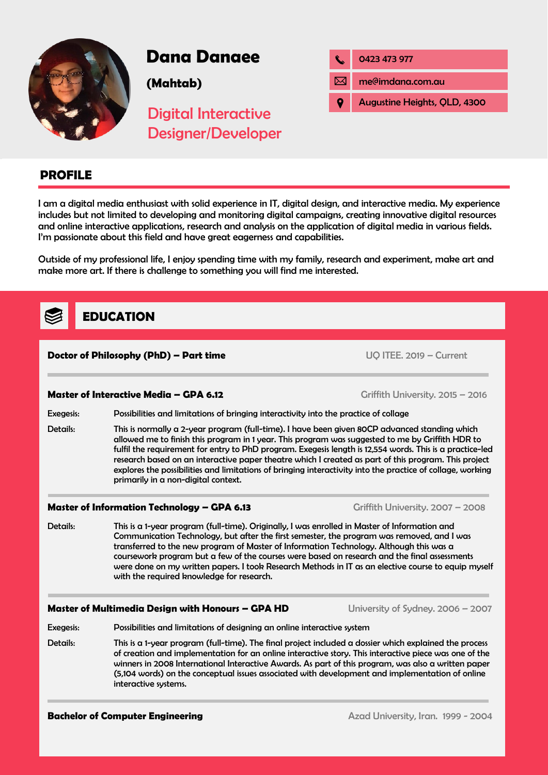

# **Dana Danaee**

**(Mahtab)**

| 0423 473 977                 |
|------------------------------|
| me@imdana.com.au             |
| Augustine Heights, QLD, 4300 |

# Digital Interactive Designer/Developer

# **PROFILE**

I am a digital media enthusiast with solid experience in IT, digital design, and interactive media. My experience includes but not limited to developing and monitoring digital campaigns, creating innovative digital resources and online interactive applications, research and analysis on the application of digital media in various fields. I'm passionate about this field and have great eagerness and capabilities.

Outside of my professional life, I enjoy spending time with my family, research and experiment, make art and make more art. If there is challenge to something you will find me interested.

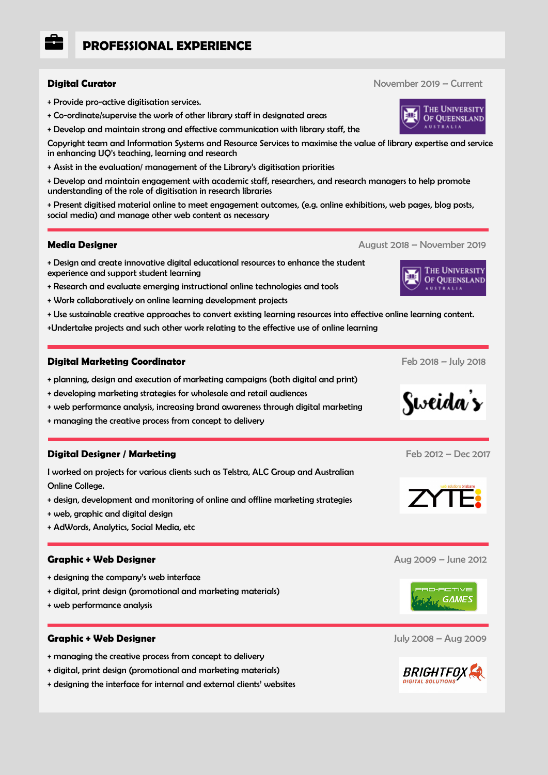# **PROFESSIONAL EXPERIENCE**

- + Provide pro-active digitisation services.
- + Co-ordinate/supervise the work of other library staff in designated areas
- + Develop and maintain strong and effective communication with library staff, the

Copyright team and Information Systems and Resource Services to maximise the value of library expertise and service in enhancing UQ's teaching, learning and research

+ Assist in the evaluation/ management of the Library's digitisation priorities

+ Develop and maintain engagement with academic staff, researchers, and research managers to help promote understanding of the role of digitisation in research libraries

+ Present digitised material online to meet engagement outcomes, (e.g. online exhibitions, web pages, blog posts, social media) and manage other web content as necessary

#### **Media Designer** August 2018 – November 2019

- + Design and create innovative digital educational resources to enhance the student experience and support student learning
- + Research and evaluate emerging instructional online technologies and tools
- + Work collaboratively on online learning development projects
- + Use sustainable creative approaches to convert existing learning resources into effective online learning content.
- +Undertake projects and such other work relating to the effective use of online learning

#### **Digital Marketing Coordinator** Feb 2018 – July 2018

- + planning, design and execution of marketing campaigns (both digital and print)
- + developing marketing strategies for wholesale and retail audiences
- + web performance analysis, increasing brand awareness through digital marketing
- + managing the creative process from concept to delivery

### **Digital Designer / Marketing** Feb 2012 – Dec 2017

I worked on projects for various clients such as Telstra, ALC Group and Australian Online College.

- + design, development and monitoring of online and offline marketing strategies
- + web, graphic and digital design
- + AdWords, Analytics, Social Media, etc

#### **Graphic + Web Designer** Aug 2009 – June 2012

- + designing the company's web interface
- + digital, print design (promotional and marketing materials)
- + web performance analysis

#### **Graphic + Web Designer** July 2008 – Aug 2009

- + managing the creative process from concept to delivery
- + digital, print design (promotional and marketing materials)
- + designing the interface for internal and external clients' websites













**Digital Curator** November 2019 – Current